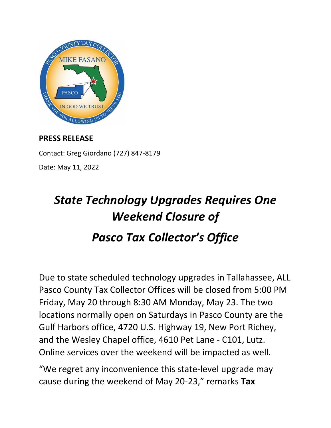

## **PRESS RELEASE**

Contact: Greg Giordano (727) 847-8179 Date: May 11, 2022

## *State Technology Upgrades Requires One Weekend Closure of Pasco Tax Collector's Office*

Due to state scheduled technology upgrades in Tallahassee, ALL Pasco County Tax Collector Offices will be closed from 5:00 PM Friday, May 20 through 8:30 AM Monday, May 23. The two locations normally open on Saturdays in Pasco County are the Gulf Harbors office, 4720 U.S. Highway 19, New Port Richey, and the Wesley Chapel office, 4610 Pet Lane - C101, Lutz. Online services over the weekend will be impacted as well.

"We regret any inconvenience this state-level upgrade may cause during the weekend of May 20-23," remarks **Tax**